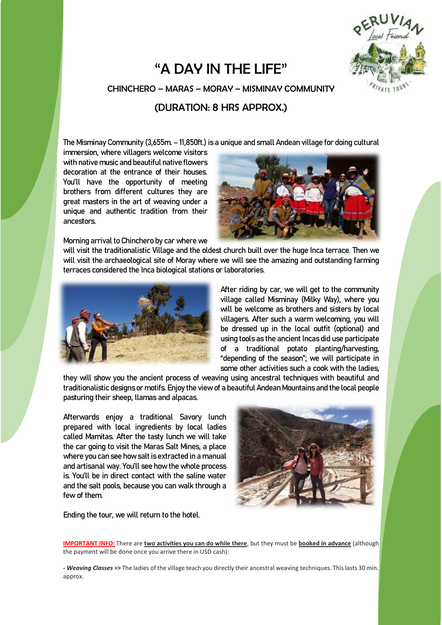## "A DAY IN THE LIFE"



CHINCHERO – MARAS – MORAY – MISMINAY COMMUNITY

## (DURATION: 8 HRS APPROX.)

The Misminay Community (3,655m. –11,850ft.) is a unique and small Andean village for doing cultural

immersion, where villagers welcome visitors with native music and beautiful native flowers decoration at the entrance of their houses. You'll have the opportunity of meeting brothers from different cultures they are great masters in the art of weaving under a unique and authentic tradition from their ancestors.

Morning arrival to Chinchero by car where we



will visit the traditionalistic Village and the oldest church built over the huge Inca terrace. Then we will visit the archaeological site of Moray where we will see the amazing and outstanding farming terraces considered the Inca biological stations or laboratories.



After riding by car, we will get to the community village called Misminay (Milky Way), where you will be welcome as brothers and sisters by local villagers. After such a warm welcoming, you will be dressed up in the local outfit (optional) and using tools as the ancient Incas did use participate of a traditional potato planting/harvesting, "depending of the season"; we will participate in some other activities such a cook with the ladies.

they will show you the ancient process of weaving using ancestral techniques with beautiful and traditionalistic designs or motifs. Enjoy the view of a beautiful Andean Mountains and the local people pasturing their sheep, llamas and alpacas.

Afterwards enjoy a traditional Savory lunch prepared with local ingredients by local ladies called Mamitas. After the tasty lunch we will take the car going to visit the Maras Salt Mines, a place where you can see how salt is extracted in a manual and artisanal way. You'll see how the whole process is. You'll be in direct contact with the saline water and the salt pools, because you can walk through a few of them.



Ending the tour, we will return to the hotel.

**IMPORTANT INFO:** There are **two activities you can do while there**, but they must be **booked in advance** (although the payment will be done once you arrive there in USD cash):

*- Weaving Classes* **=>** The ladies of the village teach you directly their ancestral weaving techniques. This lasts 30 min. approx.